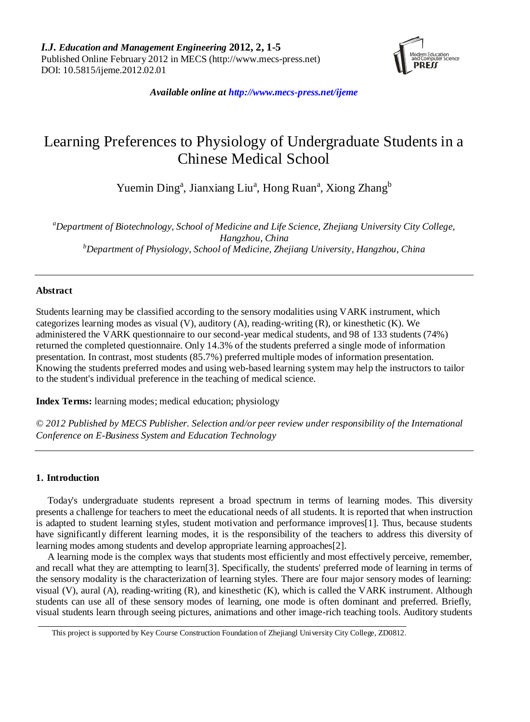

*Available online at http://www.mecs-press.net/ijeme*

# Learning Preferences to Physiology of Undergraduate Students in a Chinese Medical School

Yuemin Ding<sup>a</sup>, Jianxiang Liu<sup>a</sup>, Hong Ruan<sup>a</sup>, Xiong Zhang<sup>b</sup>

*<sup>a</sup>Department of Biotechnology, School of Medicine and Life Science, Zhejiang University City College, Hangzhou, China <sup>b</sup>Department of Physiology, School of Medicine, Zhejiang University, Hangzhou, China*

# **Abstract**

Students learning may be classified according to the sensory modalities using VARK instrument, which categorizes learning modes as visual (V), auditory (A), reading-writing (R), or kinesthetic (K). We administered the VARK questionnaire to our second-year medical students, and 98 of 133 students (74%) returned the completed questionnaire. Only 14.3% of the students preferred a single mode of information presentation. In contrast, most students (85.7%) preferred multiple modes of information presentation. Knowing the students preferred modes and using web-based learning system may help the instructors to tailor to the student's individual preference in the teaching of medical science.

**Index Terms:** learning modes; medical education; physiology

*© 2012 Published by MECS Publisher. Selection and/or peer review under responsibility of the International Conference on E-Business System and Education Technology*

# **1. Introduction**

Today's undergraduate students represent a broad spectrum in terms of learning modes. This diversity presents a challenge for teachers to meet the educational needs of all students. It is reported that when instruction is adapted to student learning styles, student motivation and performance improves[1]. Thus, because students have significantly different learning modes, it is the responsibility of the teachers to address this diversity of learning modes among students and develop appropriate learning approaches[2].

A learning mode is the complex ways that students most efficiently and most effectively perceive, remember, and recall what they are attempting to learn[3]. Specifically, the students' preferred mode of learning in terms of the sensory modality is the characterization of learning styles. There are four major sensory modes of learning: visual (V), aural (A), reading-writing (R), and kinesthetic (K), which is called the VARK instrument. Although students can use all of these sensory modes of learning, one mode is often dominant and preferred. Briefly, visual students learn through seeing pictures, animations and other image-rich teaching tools. Auditory students

This project is supported by Key Course Construction Foundation of Zhejiangl University City College, ZD0812.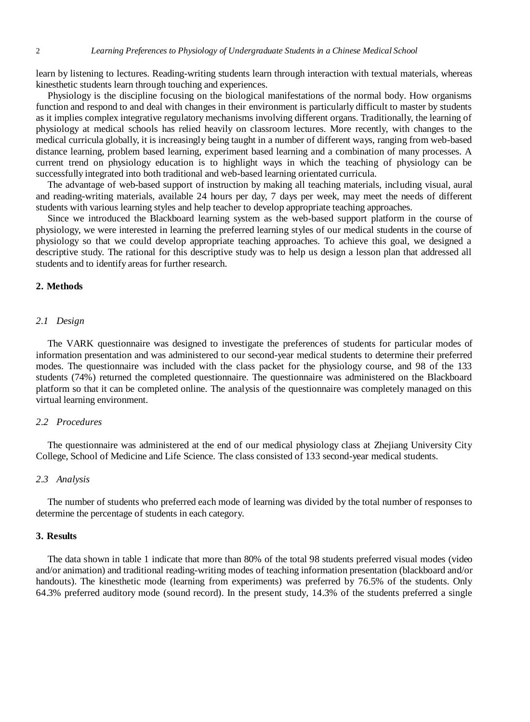learn by listening to lectures. Reading-writing students learn through interaction with textual materials, whereas kinesthetic students learn through touching and experiences.

Physiology is the discipline focusing on the biological manifestations of the normal body. How organisms function and respond to and deal with changes in their environment is particularly difficult to master by students as it implies complex integrative regulatory mechanisms involving different organs. Traditionally, the learning of physiology at medical schools has relied heavily on classroom lectures. More recently, with changes to the medical curricula globally, it is increasingly being taught in a number of different ways, ranging from web-based distance learning, problem based learning, experiment based learning and a combination of many processes. A current trend on physiology education is to highlight ways in which the teaching of physiology can be successfully integrated into both traditional and web-based learning orientated curricula.

The advantage of web-based support of instruction by making all teaching materials, including visual, aural and reading-writing materials, available 24 hours per day, 7 days per week, may meet the needs of different students with various learning styles and help teacher to develop appropriate teaching approaches.

Since we introduced the Blackboard learning system as the web-based support platform in the course of physiology, we were interested in learning the preferred learning styles of our medical students in the course of physiology so that we could develop appropriate teaching approaches. To achieve this goal, we designed a descriptive study. The rational for this descriptive study was to help us design a lesson plan that addressed all students and to identify areas for further research.

# **2. Methods**

### *2.1 Design*

The VARK questionnaire was designed to investigate the preferences of students for particular modes of information presentation and was administered to our second-year medical students to determine their preferred modes. The questionnaire was included with the class packet for the physiology course, and 98 of the 133 students (74%) returned the completed questionnaire. The questionnaire was administered on the Blackboard platform so that it can be completed online. The analysis of the questionnaire was completely managed on this virtual learning environment.

# *2.2 Procedures*

The questionnaire was administered at the end of our medical physiology class at Zhejiang University City College, School of Medicine and Life Science. The class consisted of 133 second-year medical students.

### *2.3 Analysis*

The number of students who preferred each mode of learning was divided by the total number of responses to determine the percentage of students in each category.

# **3. Results**

The data shown in table 1 indicate that more than 80% of the total 98 students preferred visual modes (video and/or animation) and traditional reading-writing modes of teaching information presentation (blackboard and/or handouts). The kinesthetic mode (learning from experiments) was preferred by 76.5% of the students. Only 64.3% preferred auditory mode (sound record). In the present study, 14.3% of the students preferred a single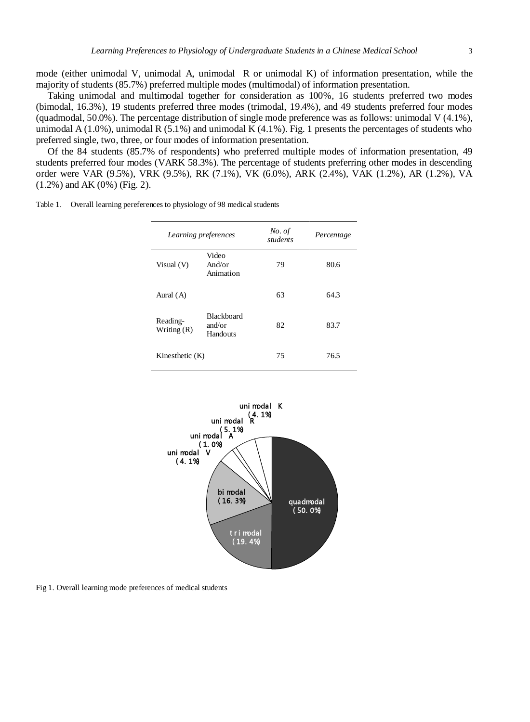mode (either unimodal V, unimodal A, unimodal R or unimodal K) of information presentation, while the majority of students (85.7%) preferred multiple modes (multimodal) of information presentation.

Taking unimodal and multimodal together for consideration as 100%, 16 students preferred two modes (bimodal, 16.3%), 19 students preferred three modes (trimodal, 19.4%), and 49 students preferred four modes (quadmodal, 50.0%). The percentage distribution of single mode preference was as follows: unimodal V (4.1%), unimodal A  $(1.0\%)$ , unimodal R  $(5.1\%)$  and unimodal K  $(4.1\%)$ . Fig. 1 presents the percentages of students who preferred single, two, three, or four modes of information presentation.

Of the 84 students (85.7% of respondents) who preferred multiple modes of information presentation, 49 students preferred four modes (VARK 58.3%). The percentage of students preferring other modes in descending order were VAR (9.5%), VRK (9.5%), RK (7.1%), VK (6.0%), ARK (2.4%), VAK (1.2%), AR (1.2%), VA (1.2%) and AK (0%) (Fig. 2).

| Learning preferences      |                                         | No. of<br>students | Percentage |
|---------------------------|-----------------------------------------|--------------------|------------|
| Visual (V)                | Video<br>And/or<br>Animation            | 79                 | 80.6       |
| Aural (A)                 |                                         | 63                 | 64.3       |
| Reading-<br>Writing $(R)$ | <b>Blackboard</b><br>and/or<br>Handouts | 82                 | 83.7       |
| Kinesthetic $(K)$         |                                         | 75                 | 76.5       |

Table 1. Overall learning pereferences to physiology of 98 medical students



Fig 1. Overall learning mode preferences of medical students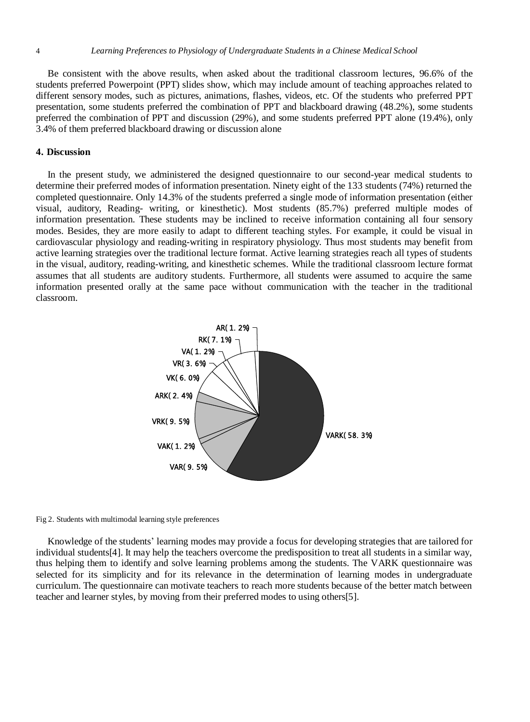Be consistent with the above results, when asked about the traditional classroom lectures, 96.6% of the students preferred Powerpoint (PPT) slides show, which may include amount of teaching approaches related to different sensory modes, such as pictures, animations, flashes, videos, etc. Of the students who preferred PPT presentation, some students preferred the combination of PPT and blackboard drawing (48.2%), some students preferred the combination of PPT and discussion (29%), and some students preferred PPT alone (19.4%), only 3.4% of them preferred blackboard drawing or discussion alone

#### **4. Discussion**

In the present study, we administered the designed questionnaire to our second-year medical students to determine their preferred modes of information presentation. Ninety eight of the 133 students (74%) returned the completed questionnaire. Only 14.3% of the students preferred a single mode of information presentation (either visual, auditory, Reading- writing, or kinesthetic). Most students (85.7%) preferred multiple modes of information presentation. These students may be inclined to receive information containing all four sensory modes. Besides, they are more easily to adapt to different teaching styles. For example, it could be visual in cardiovascular physiology and reading-writing in respiratory physiology. Thus most students may benefit from active learning strategies over the traditional lecture format. Active learning strategies reach all types of students in the visual, auditory, reading-writing, and kinesthetic schemes. While the traditional classroom lecture format assumes that all students are auditory students. Furthermore, all students were assumed to acquire the same information presented orally at the same pace without communication with the teacher in the traditional classroom.



#### Fig 2. Students with multimodal learning style preferences

Knowledge of the students' learning modes may provide a focus for developing strategies that are tailored for individual students[4]. It may help the teachers overcome the predisposition to treat all students in a similar way, thus helping them to identify and solve learning problems among the students. The VARK questionnaire was selected for its simplicity and for its relevance in the determination of learning modes in undergraduate curriculum. The questionnaire can motivate teachers to reach more students because of the better match between teacher and learner styles, by moving from their preferred modes to using others[5].